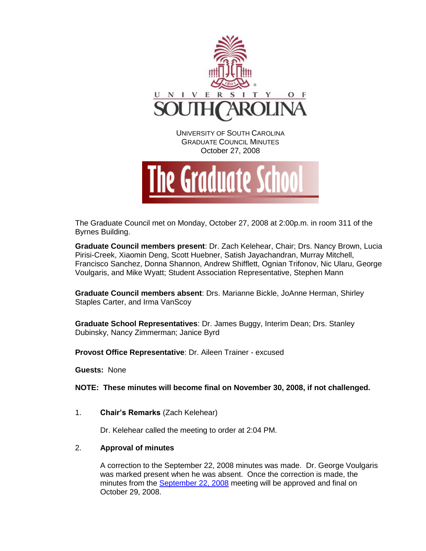

October 27, 2008



The Graduate Council met on Monday, October 27, 2008 at 2:00p.m. in room 311 of the Byrnes Building.

**Graduate Council members present**: Dr. Zach Kelehear, Chair; Drs. Nancy Brown, Lucia Pirisi-Creek, Xiaomin Deng, Scott Huebner, Satish Jayachandran, Murray Mitchell, Francisco Sanchez, Donna Shannon, Andrew Shifflett, Ognian Trifonov, Nic Ularu, George Voulgaris, and Mike Wyatt; Student Association Representative, Stephen Mann

**Graduate Council members absent**: Drs. Marianne Bickle, JoAnne Herman, Shirley Staples Carter, and Irma VanScoy

**Graduate School Representatives**: Dr. James Buggy, Interim Dean; Drs. Stanley Dubinsky, Nancy Zimmerman; Janice Byrd

**Provost Office Representative**: Dr. Aileen Trainer - excused

**Guests:** None

**NOTE: These minutes will become final on November 30, 2008, if not challenged.**

1. **Chair's Remarks** (Zach Kelehear)

Dr. Kelehear called the meeting to order at 2:04 PM.

# 2. **Approval of minutes**

A correction to the September 22, 2008 minutes was made. Dr. George Voulgaris was marked present when he was absent. Once the correction is made, the minutes from the [September 22, 2008](http://www.gradschool.sc.edu/gradcouncil/GC_092208_Agnda.pdf) meeting will be approved and final on October 29, 2008.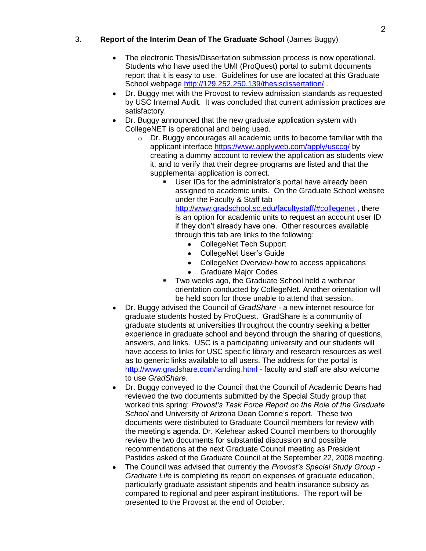# 3. **Report of the Interim Dean of The Graduate School** (James Buggy)

- The electronic Thesis/Dissertation submission process is now operational. Students who have used the UMI (ProQuest) portal to submit documents report that it is easy to use. Guidelines for use are located at this Graduate School webpage<http://129.252.250.139/thesisdissertation/>.
- Dr. Buggy met with the Provost to review admission standards as requested by USC Internal Audit. It was concluded that current admission practices are satisfactory.
- Dr. Buggy announced that the new graduate application system with CollegeNET is operational and being used.
	- o Dr. Buggy encourages all academic units to become familiar with the applicant interface<https://www.applyweb.com/apply/usccg/> by creating a dummy account to review the application as students view it, and to verify that their degree programs are listed and that the supplemental application is correct.
		- User IDs for the administrator's portal have already been assigned to academic units. On the Graduate School website under the Faculty & Staff tab <http://www.gradschool.sc.edu/facultystaff/#collegenet> , there

is an option for academic units to request an account user ID if they don't already have one. Other resources available through this tab are links to the following:

- CollegeNet Tech Support
- CollegeNet User's Guide
- CollegeNet Overview-how to access applications
- Graduate Major Codes
- Two weeks ago, the Graduate School held a webinar orientation conducted by CollegeNet. Another orientation will be held soon for those unable to attend that session.
- Dr. Buggy advised the Council of *GradShare* a new internet resource for graduate students hosted by ProQuest. GradShare is a community of graduate students at universities throughout the country seeking a better experience in graduate school and beyond through the sharing of questions, answers, and links. USC is a participating university and our students will have access to links for USC specific library and research resources as well as to generic links available to all users. The address for the portal is <http://www.gradshare.com/landing.html> - faculty and staff are also welcome to use *GradShare*.
- Dr. Buggy conveyed to the Council that the Council of Academic Deans had reviewed the two documents submitted by the Special Study group that worked this spring: *Provost's Task Force Report on the Role of the Graduate School* and University of Arizona Dean Comrie's report. These two documents were distributed to Graduate Council members for review with the meeting's agenda. Dr. Kelehear asked Council members to thoroughly review the two documents for substantial discussion and possible recommendations at the next Graduate Council meeting as President Pastides asked of the Graduate Council at the September 22, 2008 meeting.
- The Council was advised that currently the *Provost's Special Study Group*   $\bullet$ *Graduate Life* is completing its report on expenses of graduate education, particularly graduate assistant stipends and health insurance subsidy as compared to regional and peer aspirant institutions. The report will be presented to the Provost at the end of October.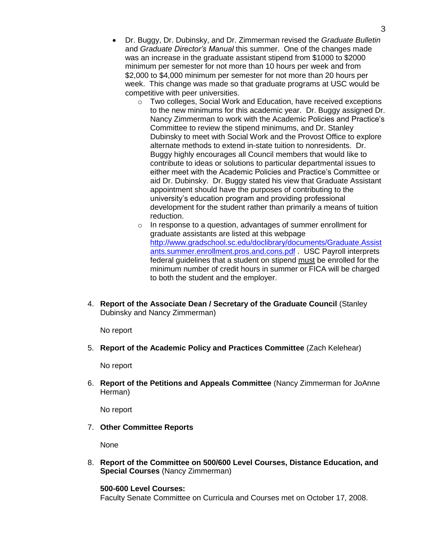- Dr. Buggy, Dr. Dubinsky, and Dr. Zimmerman revised the *Graduate Bulletin* and *Graduate Director's Manual* this summer. One of the changes made was an increase in the graduate assistant stipend from \$1000 to \$2000 minimum per semester for not more than 10 hours per week and from \$2,000 to \$4,000 minimum per semester for not more than 20 hours per week. This change was made so that graduate programs at USC would be competitive with peer universities.
	- o Two colleges, Social Work and Education, have received exceptions to the new minimums for this academic year. Dr. Buggy assigned Dr. Nancy Zimmerman to work with the Academic Policies and Practice's Committee to review the stipend minimums, and Dr. Stanley Dubinsky to meet with Social Work and the Provost Office to explore alternate methods to extend in-state tuition to nonresidents. Dr. Buggy highly encourages all Council members that would like to contribute to ideas or solutions to particular departmental issues to either meet with the Academic Policies and Practice's Committee or aid Dr. Dubinsky. Dr. Buggy stated his view that Graduate Assistant appointment should have the purposes of contributing to the university's education program and providing professional development for the student rather than primarily a means of tuition reduction.
	- o In response to a question, advantages of summer enrollment for graduate assistants are listed at this webpage [http://www.gradschool.sc.edu/doclibrary/documents/Graduate.Assist](http://www.gradschool.sc.edu/doclibrary/documents/Graduate.Assistants.summer.enrollment.pros.and.cons.pdf) [ants.summer.enrollment.pros.and.cons.pdf](http://www.gradschool.sc.edu/doclibrary/documents/Graduate.Assistants.summer.enrollment.pros.and.cons.pdf) . USC Payroll interprets federal guidelines that a student on stipend must be enrolled for the minimum number of credit hours in summer or FICA will be charged to both the student and the employer.
- 4. **Report of the Associate Dean / Secretary of the Graduate Council** (Stanley Dubinsky and Nancy Zimmerman)

No report

5. **Report of the Academic Policy and Practices Committee** (Zach Kelehear)

No report

6. **Report of the Petitions and Appeals Committee** (Nancy Zimmerman for JoAnne Herman)

No report

7. **Other Committee Reports**

None

8. **Report of the Committee on 500/600 Level Courses, Distance Education, and Special Courses** (Nancy Zimmerman)

# **500-600 Level Courses:**

Faculty Senate Committee on Curricula and Courses met on October 17, 2008.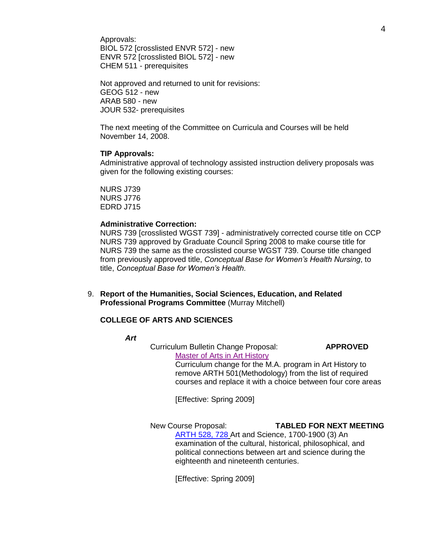Approvals: BIOL 572 [crosslisted ENVR 572] - new ENVR 572 [crosslisted BIOL 572] - new CHEM 511 - prerequisites

Not approved and returned to unit for revisions: GEOG 512 - new ARAB 580 - new JOUR 532- prerequisites

The next meeting of the Committee on Curricula and Courses will be held November 14, 2008.

### **TIP Approvals:**

Administrative approval of technology assisted instruction delivery proposals was given for the following existing courses:

NURS J739 NURS J776 EDRD J715

#### **Administrative Correction:**

NURS 739 [crosslisted WGST 739] - administratively corrected course title on CCP NURS 739 approved by Graduate Council Spring 2008 to make course title for NURS 739 the same as the crosslisted course WGST 739. Course title changed from previously approved title, *Conceptual Base for Women's Health Nursing*, to title, *Conceptual Base for Women's Health.* 

9. **Report of the Humanities, Social Sciences, Education, and Related Professional Programs Committee** (Murray Mitchell)

### **COLLEGE OF ARTS AND SCIENCES**

*Art*

Curriculum Bulletin Change Proposal: **APPROVED** Master [of Arts in Art History](http://www.gradschool.sc.edu/gradcouncil/Curricula/CBC%20MA%20Art%20History.PDF) Curriculum change for the M.A. program in Art History to

remove ARTH 501(Methodology) from the list of required courses and replace it with a choice between four core areas

[Effective: Spring 2009]

New Course Proposal: **TABLED FOR NEXT MEETING** [ARTH 528, 728](http://www.gradschool.sc.edu/gradcouncil/Curricula/NCP%20ARTH%20528.PDF) Art and Science, 1700-1900 (3) An examination of the cultural, historical, philosophical, and political connections between art and science during the eighteenth and nineteenth centuries.

[Effective: Spring 2009]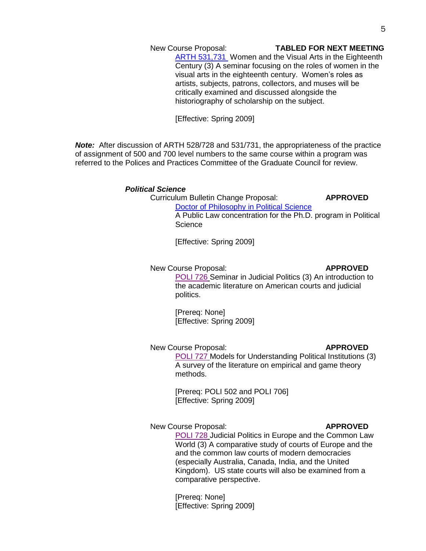### New Course Proposal: **TABLED FOR NEXT MEETING**

**ARTH 531,731** Women and the Visual Arts in the Eighteenth Century (3) A seminar focusing on the roles of women in the visual arts in the eighteenth century. Women's roles as artists, subjects, patrons, collectors, and muses will be critically examined and discussed alongside the historiography of scholarship on the subject.

[Effective: Spring 2009]

*Note:* After discussion of ARTH 528/728 and 531/731, the appropriateness of the practice of assignment of 500 and 700 level numbers to the same course within a program was referred to the Polices and Practices Committee of the Graduate Council for review.

#### *Political Science*

Curriculum Bulletin Change Proposal: **APPROVED**

[Doctor of Philosophy in Political Science](http://www.gradschool.sc.edu/gradcouncil/Curricula/CBC%20Ph.D.%20in%20Political%20Science.PDF) A Public Law concentration for the Ph.D. program in Political **Science** 

[Effective: Spring 2009]

#### New Course Proposal: **APPROVED**

[POLI 726](http://www.gradschool.sc.edu/gradcouncil/Curricula/NCP%20POLI%20726.PDF) Seminar in Judicial Politics (3) An introduction to the academic literature on American courts and judicial politics.

[Prereq: None] [Effective: Spring 2009]

#### New Course Proposal: **APPROVED**

[POLI 727](http://www.gradschool.sc.edu/gradcouncil/Curricula/NCP%20POLI%20727.PDF) Models for Understanding Political Institutions (3) A survey of the literature on empirical and game theory methods.

[Prereq: POLI 502 and POLI 706] [Effective: Spring 2009]

# New Course Proposal: **APPROVED**

[POLI 728](http://www.gradschool.sc.edu/gradcouncil/Curricula/NCP%20POLI%20728.PDF) Judicial Politics in Europe and the Common Law World (3) A comparative study of courts of Europe and the and the common law courts of modern democracies (especially Australia, Canada, India, and the United Kingdom). US state courts will also be examined from a comparative perspective.

[Prereq: None] [Effective: Spring 2009]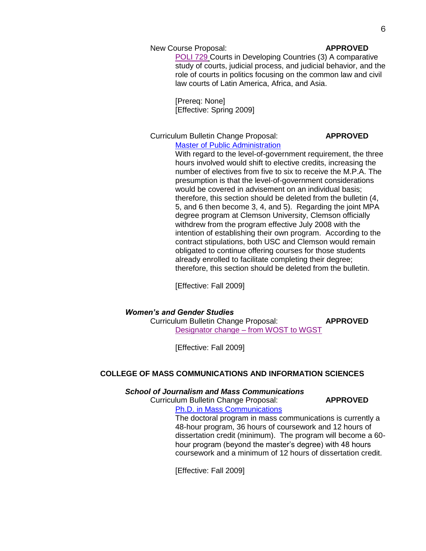### New Course Proposal: **APPROVED**

[POLI 729](http://www.gradschool.sc.edu/gradcouncil/Curricula/NCP%20POLI%20729.PDF) Courts in Developing Countries (3) A comparative study of courts, judicial process, and judicial behavior, and the role of courts in politics focusing on the common law and civil law courts of Latin America, Africa, and Asia.

[Prereq: None] [Effective: Spring 2009]

# Curriculum Bulletin Change Proposal: **APPROVED**

# [Master of Public Administration](http://www.gradschool.sc.edu/gradcouncil/Curricula/CBC%20Political%20Science.pdf)

With regard to the level-of-government requirement, the three hours involved would shift to elective credits, increasing the number of electives from five to six to receive the M.P.A. The presumption is that the level-of-government considerations would be covered in advisement on an individual basis; therefore, this section should be deleted from the bulletin (4, 5, and 6 then become 3, 4, and 5). Regarding the joint MPA degree program at Clemson University, Clemson officially withdrew from the program effective July 2008 with the intention of establishing their own program. According to the contract stipulations, both USC and Clemson would remain obligated to continue offering courses for those students already enrolled to facilitate completing their degree; therefore, this section should be deleted from the bulletin.

[Effective: Fall 2009]

### *Women's and Gender Studies*

Curriculum Bulletin Change Proposal: **APPROVED** Designator change – [from WOST to WGST](http://www.gradschool.sc.edu/gradcouncil/Curricula/CBC%20Womens%20and%20Gender%20Studies.pdf)

[Effective: Fall 2009]

### **COLLEGE OF MASS COMMUNICATIONS AND INFORMATION SCIENCES**

#### *School of Journalism and Mass Communications*

# Curriculum Bulletin Change Proposal: **APPROVED**

[Ph.D. in Mass Communications](http://www.gradschool.sc.edu/gradcouncil/Curricula/CBC-Journalism%20and%20Mass%20Comm%202.pdf)

The doctoral program in mass communications is currently a 48-hour program, 36 hours of coursework and 12 hours of dissertation credit (minimum). The program will become a 60 hour program (beyond the master's degree) with 48 hours coursework and a minimum of 12 hours of dissertation credit.

[Effective: Fall 2009]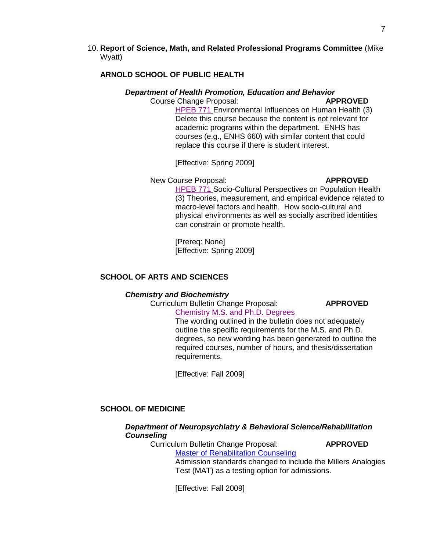## 10. **Report of Science, Math, and Related Professional Programs Committee** (Mike Wyatt)

# **ARNOLD SCHOOL OF PUBLIC HEALTH**

## *Department of Health Promotion, Education and Behavior*

# Course Change Proposal: **APPROVED**

[HPEB 771](http://www.gradschool.sc.edu/gradcouncil/Curricula/CCP%20HPEB%20771.PDF) Environmental Influences on Human Health (3) Delete this course because the content is not relevant for academic programs within the department. ENHS has courses (e.g., ENHS 660) with similar content that could replace this course if there is student interest.

[Effective: Spring 2009]

# New Course Proposal: **APPROVED**

[HPEB 771](http://www.gradschool.sc.edu/gradcouncil/Curricula/NCP%20HPEB%20771.PDF) Socio-Cultural Perspectives on Population Health (3) Theories, measurement, and empirical evidence related to macro-level factors and health. How socio-cultural and physical environments as well as socially ascribed identities can constrain or promote health.

[Prereq: None] [Effective: Spring 2009]

# **SCHOOL OF ARTS AND SCIENCES**

### *Chemistry and Biochemistry*

Curriculum Bulletin Change Proposal: **APPROVED**

[Chemistry M.S. and Ph.D. Degrees](http://www.gradschool.sc.edu/gradcouncil/Curricula/CBC-%20Chemistry%20and%20Biochemistry.PDF)

The wording outlined in the bulletin does not adequately outline the specific requirements for the M.S. and Ph.D. degrees, so new wording has been generated to outline the required courses, number of hours, and thesis/dissertation requirements.

[Effective: Fall 2009]

# **SCHOOL OF MEDICINE**

# *Department of Neuropsychiatry & Behavioral Science/Rehabilitation Counseling*

Curriculum Bulletin Change Proposal: **APPROVED** [Master of Rehabilitation Counseling](http://www.gradschool.sc.edu/gradcouncil/Curricula/CBC%20Rehabilitation%20Counseling.PDF)

Admission standards changed to include the Millers Analogies Test (MAT) as a testing option for admissions.

[Effective: Fall 2009]